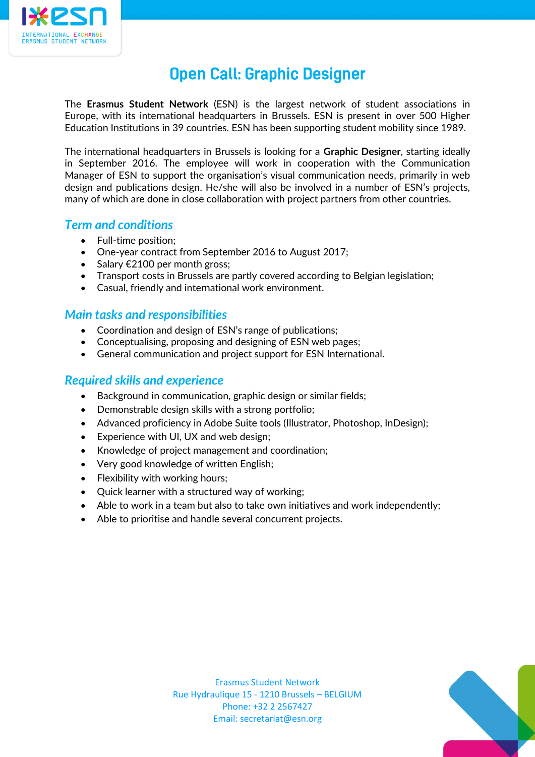

# **Open Call: Graphic Designer**

The **Erasmus Student Network** (ESN) is the largest network of student associations in Europe, with its international headquarters in Brussels. ESN is present in over 500 Higher Education Institutions in 39 countries. ESN has been supporting student mobility since 1989.

The international headquarters in Brussels is looking for a **Graphic Designer**, starting ideally in September 2016. The employee will work in cooperation with the Communication Manager of ESN to support the organisation's visual communication needs, primarily in web design and publications design. He/she will also be involved in a number of ESN's projects, many of which are done in close collaboration with project partners from other countries.

### *Term and conditions*

- Full-time position;
- One-year contract from September 2016 to August 2017;
- Salary  $€2100$  per month gross;
- Transport costs in Brussels are partly covered according to Belgian legislation;
- Casual, friendly and international work environment.

#### *Main tasks and responsibilities*

- Coordination and design of ESN's range of publications;
- Conceptualising, proposing and designing of ESN web pages;
- General communication and project support for ESN International.

#### *Required skills and experience*

- Background in communication, graphic design or similar fields;
- Demonstrable design skills with a strong portfolio;
- Advanced proficiency in Adobe Suite tools (Illustrator, Photoshop, InDesign);
- Experience with UI, UX and web design;
- Knowledge of project management and coordination;
- Very good knowledge of written English;
- Flexibility with working hours:
- Ouick learner with a structured way of working:
- Able to work in a team but also to take own initiatives and work independently;
- Able to prioritise and handle several concurrent projects.



Erasmus Student Network Rue Hydraulique 15 - 1210 Brussels – BELGIUM Phone: +32 2 2567427 Email: secretariat@esn.org